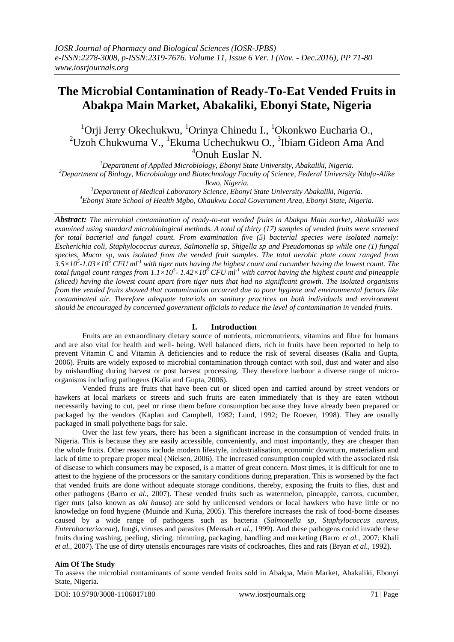# **The Microbial Contamination of Ready-To-Eat Vended Fruits in Abakpa Main Market, Abakaliki, Ebonyi State, Nigeria**

 $1$ Orii Jerry Okechukwu,  $1$ Orinya Chinedu I.,  $1$ Okonkwo Eucharia O.,  $2^2$ Uzoh Chukwuma V., <sup>1</sup>Ekuma Uchechukwu O.,  $3$ Ibiam Gideon Ama And <sup>4</sup>Onuh Euslar N.

*<sup>1</sup>Department of Applied Microbiology, Ebonyi State University, Abakaliki, Nigeria. <sup>2</sup>Department of Biology, Microbiology and Biotechnology Faculty of Science, Federal University Ndufu-Alike Ikwo, Nigeria.*

*<sup>3</sup>Department of Medical Laboratory Science, Ebonyi State University Abakaliki, Nigeria. <sup>4</sup>Ebonyi State School of Health Mgbo, Ohaukwu Local Government Area, Ebonyi State, Nigeria.*

*Abstract: The microbial contamination of ready-to-eat vended fruits in Abakpa Main market, Abakaliki was examined using standard microbiological methods. A total of thirty (17) samples of vended fruits were screened for total bacterial and fungal count. From examination five (5) bacterial species were isolated namely: Escherichia coli, Staphylococcus aureus, Salmonella sp, Shigella sp and Pseudomonas sp while one (1) fungal species, Mucor sp, was isolated from the vended fruit samples. The total aerobic plate count ranged from*   $3.5 \times 10^5$ -1.03×10<sup> $\delta$ </sup> CFU ml<sup>-1</sup> with tiger nuts having the highest count and cucumber having the lowest count. The *total fungal count ranges from 1.1×10<sup>5</sup> - 1.42×10<sup>6</sup> CFU ml-1 with carrot having the highest count and pineapple (sliced) having the lowest count apart from tiger nuts that had no significant growth. The isolated organisms from the vended fruits showed that contamination occurred due to poor hygiene and environmental factors like contaminated air. Therefore adequate tutorials on sanitary practices on both individuals and environment should be encouraged by concerned government officials to reduce the level of contamination in vended fruits.*

## **I. Introduction**

Fruits are an extraordinary dietary source of nutrients, micronutrients, vitamins and fibre for humans and are also vital for health and well- being. Well balanced diets, rich in fruits have been reported to help to prevent Vitamin C and Vitamin A deficiencies and to reduce the risk of several diseases (Kalia and Gupta, 2006). Fruits are widely exposed to microbial contamination through contact with soil, dust and water and also by mishandling during harvest or post harvest processing. They therefore harbour a diverse range of microorganisms including pathogens (Kalia and Gupta, 2006).

Vended fruits are fruits that have been cut or sliced open and carried around by street vendors or hawkers at local markets or streets and such fruits are eaten immediately that is they are eaten without necessarily having to cut, peel or rinse them before consumption because they have already been prepared or packaged by the vendors (Kaplan and Campbell, 1982; Lund, 1992; De Roever, 1998). They are usually packaged in small polyethene bags for sale.

Over the last few years, there has been a significant increase in the consumption of vended fruits in Nigeria. This is because they are easily accessible, conveniently, and most importantly, they are cheaper than the whole fruits. Other reasons include modern lifestyle, industrialisation, economic downturn, materialism and lack of time to prepare proper meal (Nielsen, 2006). The increased consumption coupled with the associated risk of disease to which consumers may be exposed, is a matter of great concern. Most times, it is difficult for one to attest to the hygiene of the processors or the sanitary conditions during preparation. This is worsened by the fact that vended fruits are done without adequate storage conditions, thereby, exposing the fruits to flies, dust and other pathogens (Barro *et al.,* 2007). These vended fruits such as watermelon, pineapple, carrots, cucumber, tiger nuts (also known as *aki hausa*) are sold by unlicensed vendors or local hawkers who have little or no knowledge on food hygiene (Muinde and Kuria, 2005). This therefore increases the risk of food-borne diseases caused by a wide range of pathogens such as bacteria (*Salmonella sp*, *Staphylococcus aureus*, *Enterobacteriaceae*), fungi, viruses and parasites (Mensah *et al.,* 1999). And these pathogens could invade these fruits during washing, peeling, slicing, trimming, packaging, handling and marketing (Barro *et al.,* 2007; Khali *et al.,* 2007). The use of dirty utensils encourages rare visits of cockroaches, flies and rats (Bryan *et al.,* 1992).

## **Aim Of The Study**

To assess the microbial contaminants of some vended fruits sold in Abakpa, Main Market, Abakaliki, Ebonyi State, Nigeria.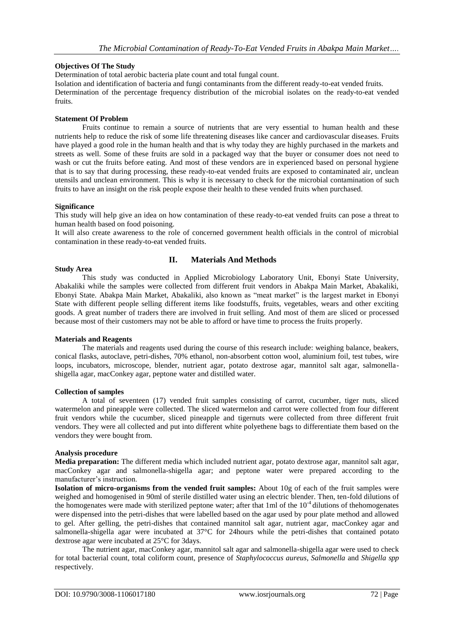## **Objectives Of The Study**

Determination of total aerobic bacteria plate count and total fungal count.

Isolation and identification of bacteria and fungi contaminants from the different ready-to-eat vended fruits. Determination of the percentage frequency distribution of the microbial isolates on the ready-to-eat vended fruits.

## **Statement Of Problem**

Fruits continue to remain a source of nutrients that are very essential to human health and these nutrients help to reduce the risk of some life threatening diseases like cancer and cardiovascular diseases. Fruits have played a good role in the human health and that is why today they are highly purchased in the markets and streets as well. Some of these fruits are sold in a packaged way that the buyer or consumer does not need to wash or cut the fruits before eating. And most of these vendors are in experienced based on personal hygiene that is to say that during processing, these ready-to-eat vended fruits are exposed to contaminated air, unclean utensils and unclean environment. This is why it is necessary to check for the microbial contamination of such fruits to have an insight on the risk people expose their health to these vended fruits when purchased.

#### **Significance**

This study will help give an idea on how contamination of these ready-to-eat vended fruits can pose a threat to human health based on food poisoning.

It will also create awareness to the role of concerned government health officials in the control of microbial contamination in these ready-to-eat vended fruits.

## **II. Materials And Methods**

#### **Study Area**

This study was conducted in Applied Microbiology Laboratory Unit, Ebonyi State University, Abakaliki while the samples were collected from different fruit vendors in Abakpa Main Market, Abakaliki, Ebonyi State. Abakpa Main Market, Abakaliki, also known as "meat market" is the largest market in Ebonyi State with different people selling different items like foodstuffs, fruits, vegetables, wears and other exciting goods. A great number of traders there are involved in fruit selling. And most of them are sliced or processed because most of their customers may not be able to afford or have time to process the fruits properly.

#### **Materials and Reagents**

The materials and reagents used during the course of this research include: weighing balance, beakers, conical flasks, autoclave, petri-dishes, 70% ethanol, non-absorbent cotton wool, aluminium foil, test tubes, wire loops, incubators, microscope, blender, nutrient agar, potato dextrose agar, mannitol salt agar, salmonellashigella agar, macConkey agar, peptone water and distilled water.

#### **Collection of samples**

A total of seventeen (17) vended fruit samples consisting of carrot, cucumber, tiger nuts, sliced watermelon and pineapple were collected. The sliced watermelon and carrot were collected from four different fruit vendors while the cucumber, sliced pineapple and tigernuts were collected from three different fruit vendors. They were all collected and put into different white polyethene bags to differentiate them based on the vendors they were bought from.

#### **Analysis procedure**

**Media preparation:** The different media which included nutrient agar, potato dextrose agar, mannitol salt agar, macConkey agar and salmonella-shigella agar; and peptone water were prepared according to the manufacturer's instruction.

**Isolation of micro-organisms from the vended fruit samples:** About 10g of each of the fruit samples were weighed and homogenised in 90ml of sterile distilled water using an electric blender. Then, ten-fold dilutions of the homogenates were made with sterilized peptone water; after that  $1 \text{ ml}$  of the  $10^{-4}$  dilutions of thehomogenates were dispensed into the petri-dishes that were labelled based on the agar used by pour plate method and allowed to gel. After gelling, the petri-dishes that contained mannitol salt agar, nutrient agar, macConkey agar and salmonella-shigella agar were incubated at 37°C for 24hours while the petri-dishes that contained potato dextrose agar were incubated at 25°C for 3days.

The nutrient agar, macConkey agar, mannitol salt agar and salmonella-shigella agar were used to check for total bacterial count, total coliform count, presence of *Staphylococcus aureus*, *Salmonella* and *Shigella spp* respectively.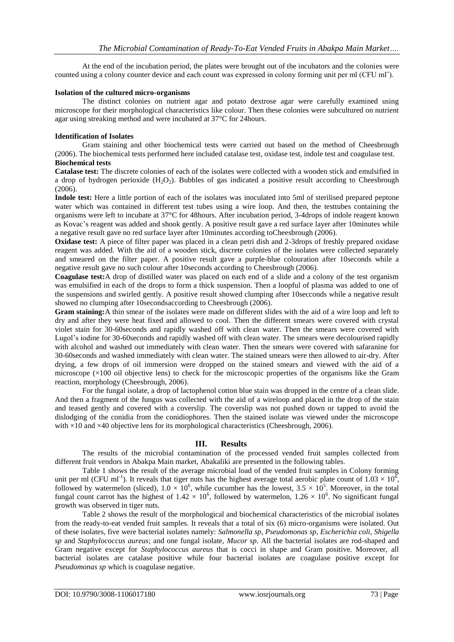At the end of the incubation period, the plates were brought out of the incubators and the colonies were counted using a colony counter device and each count was expressed in colony forming unit per ml (CFU mlˉ).

#### **Isolation of the cultured micro-organisms**

The distinct colonies on nutrient agar and potato dextrose agar were carefully examined using microscope for their morphological characteristics like colour. Then these colonies were subcultured on nutrient agar using streaking method and were incubated at 37°C for 24hours.

## **Identification of Isolates**

Gram staining and other biochemical tests were carried out based on the method of Cheesbrough (2006). The biochemical tests performed here included catalase test, oxidase test, indole test and coagulase test. **Biochemical tests**

**Catalase test:** The discrete colonies of each of the isolates were collected with a wooden stick and emulsified in a drop of hydrogen perioxide  $(H_2O_2)$ . Bubbles of gas indicated a positive result according to Cheesbrough (2006).

**Indole test:** Here a little portion of each of the isolates was inoculated into 5ml of sterilised prepared peptone water which was contained in different test tubes using a wire loop. And then, the testtubes containing the organisms were left to incubate at 37°C for 48hours. After incubation period, 3-4drops of indole reagent known as Kovac's reagent was added and shook gently. A positive result gave a red surface layer after 10minutes while a negative result gave no red surface layer after 10minutes according toCheesbrough (2006).

**Oxidase test:** A piece of filter paper was placed in a clean petri dish and 2-3drops of freshly prepared oxidase reagent was added. With the aid of a wooden stick, discrete colonies of the isolates were collected separately and smeared on the filter paper. A positive result gave a purple-blue colouration after 10seconds while a negative result gave no such colour after 10seconds according to Cheesbrough (2006).

**Coagulase test:**A drop of distilled water was placed on each end of a slide and a colony of the test organism was emulsified in each of the drops to form a thick suspension. Then a loopful of plasma was added to one of the suspensions and swirled gently. A positive result showed clumping after 10secconds while a negative result showed no clumping after 10secondsaccording to Cheesbrough (2006).

**Gram staining:**A thin smear of the isolates were made on different slides with the aid of a wire loop and left to dry and after they were heat fixed and allowed to cool. Then the different smears were covered with crystal violet stain for 30-60seconds and rapidly washed off with clean water. Then the smears were covered with Lugol's iodine for 30-60seconds and rapidly washed off with clean water. The smears were decolourised rapidly with alcohol and washed out immediately with clean water. Then the smears were covered with safaranine for 30-60seconds and washed immediately with clean water. The stained smears were then allowed to air-dry. After drying, a few drops of oil immersion were dropped on the stained smears and viewed with the aid of a microscope  $(x100)$  oil objective lens) to check for the microscopic properties of the organisms like the Gram reaction, morphology (Cheesbrough, 2006).

For the fungal isolate, a drop of lactophenol cotton blue stain was dropped in the centre of a clean slide. And then a fragment of the fungus was collected with the aid of a wireloop and placed in the drop of the stain and teased gently and covered with a coverslip. The coverslip was not pushed down or tapped to avoid the dislodging of the conidia from the conidiophores. Then the stained isolate was viewed under the microscope with  $\times$ 10 and  $\times$ 40 objective lens for its morphological characteristics (Cheesbrough, 2006).

## **III. Results**

The results of the microbial contamination of the processed vended fruit samples collected from different fruit vendors in Abakpa Main market, Abakaliki are presented in the following tables.

Table 1 shows the result of the average microbial load of the vended fruit samples in Colony forming unit per ml (CFU ml<sup>-1</sup>). It reveals that tiger nuts has the highest average total aerobic plate count of  $1.03 \times 10^6$ , followed by watermelon (sliced),  $1.0 \times 10^6$ , while cucumber has the lowest,  $3.5 \times 10^5$ . Moreover, in the total fungal count carrot has the highest of  $1.42 \times 10^6$ , followed by watermelon,  $1.26 \times 10^6$ . No significant fungal growth was observed in tiger nuts.

Table 2 shows the result of the morphological and biochemical characteristics of the microbial isolates from the ready-to-eat vended fruit samples. It reveals that a total of six (6) micro-organisms were isolated. Out of these isolates, five were bacterial isolates namely: *Salmonella sp*, *Pseudomonas sp*, *Escherichia coli*, *Shigella sp* and *Staphylococcus aureus*; and one fungal isolate, *Mucor sp*. All the bacterial isolates are rod-shaped and Gram negative except for *Staphylococcus aureus* that is cocci in shape and Gram positive. Moreover, all bacterial isolates are catalase positive while four bacterial isolates are coagulase positive except for *Pseudomonas sp* which is coagulase negative.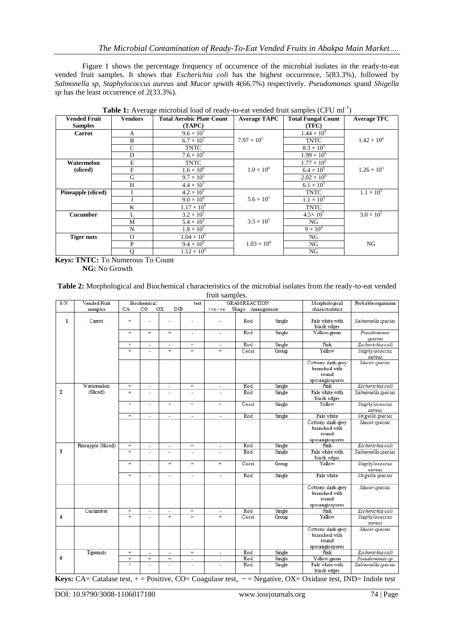Figure 1 shows the percentage frequency of occurrence of the microbial isolates in the ready-to-eat vended fruit samples. It shows that *Escherichia coli* has the highest occurrence, 5(83.3%), followed by *Salmonella sp*, *Staphylococcus aureus* and *Mucor sp*with 4(66.7%) respectively. *Pseudomonas sp*and *Shigella sp* has the least occurrence of 2(33.3%).

| <b>Vended Fruit</b>       | <b>Vendors</b> | <b>Total Aerobic Plate Count</b> | <b>Average TAPC</b>  | <b>Total Fungal Count</b> | <b>Average TFC</b>   |
|---------------------------|----------------|----------------------------------|----------------------|---------------------------|----------------------|
| <b>Samples</b>            |                | (TAPC)                           |                      | (TFC)                     |                      |
| <b>Carrot</b>             | $\mathsf{A}$   | $9.6 \times 10^{5}$              |                      | $1.44 \times 10^{6}$      |                      |
|                           | B              | $6.7 \times 10^{5}$              | $7.97 \times 10^{5}$ | <b>TNTC</b>               | $1.42 \times 10^{6}$ |
|                           | $\mathsf{C}$   | <b>TNTC</b>                      |                      | $8.3 \times 10^{5}$       |                      |
|                           | D              | $7.6 \times 10^{5}$              |                      | $1.99 \times 10^{6}$      |                      |
| Watermelon                | E              | <b>TNTC</b>                      |                      | $1.77 \times 10^{6}$      |                      |
| (sliced)                  | F              | $1.6 \times 10^{6}$              | $1.0 \times 10^{6}$  | $6.4 \times 10^{5}$       | $1.26 \times 10^{5}$ |
|                           | G              | $9.7 \times 10^{5}$              |                      | $2.02 \times 10^{6}$      |                      |
|                           | H              | $4.4 \times 10^{5}$              |                      | $6.1 \times 10^{5}$       |                      |
| <b>Pineapple</b> (sliced) |                | $4.2 \times 10^{5}$              |                      | <b>TNTC</b>               | $1.1 \times 10^{5}$  |
|                           |                | $9.0 \times 10^{4}$              | $5.6 \times 10^{5}$  | $1.1 \times 10^{5}$       |                      |
|                           | K              | $1.17 \times 10^{6}$             |                      | <b>TNTC</b>               |                      |
| <b>Cucumber</b>           | L              | $3.2 \times 10^{5}$              |                      | $4.5 \times 10^{5}$       | $3.0 \times 10^{5}$  |
|                           | M              | $5.4 \times 10^{5}$              | $3.5 \times 10^{5}$  | NG                        |                      |
|                           | N              | $1.8 \times 10^{5}$              |                      | $9 \times 10^4$           |                      |
| <b>Tiger nuts</b>         | $\Omega$       | $1.04 \times 10^{6}$             |                      | NG                        |                      |
|                           | P              | $9.4 \times 10^{5}$              | $1.03 \times 10^{6}$ | NG                        | NG                   |
|                           | Q              | $1.12 \times 10^{6}$             |                      | NG                        |                      |

Table 1: Average microbial load of ready-to-eat vended fruit samples (CFU ml<sup>-1</sup>)

**Keys: TNTC:** To Numerous To Count **NG:** No Growth

| Table 2: Morphological and Biochemical characteristics of the microbial isolates from the ready-to-eat vended |
|---------------------------------------------------------------------------------------------------------------|
| fruit samples.                                                                                                |

| S/N | <b>Vended Fruit</b> | Biochemical                                  |        |                | test                  | <b>GRAM REACTION</b>           |       | Morphological | Probable organisms                                             |                          |
|-----|---------------------|----------------------------------------------|--------|----------------|-----------------------|--------------------------------|-------|---------------|----------------------------------------------------------------|--------------------------|
|     | samples             | CA<br>$_{\rm CO}$<br><b>OX</b><br><b>IND</b> |        |                |                       | Shape Arrangement<br>$+ve/-ve$ |       |               | characteristics                                                |                          |
|     |                     |                                              |        |                |                       |                                |       |               |                                                                |                          |
| ı   | Carrot              | $\ddot{}$                                    |        |                |                       |                                | Rod   | Single        | Pale white with<br>black edges                                 | Salmonella species       |
|     |                     | $\overline{+}$                               | $+$    | $+$            | ٠                     | ٠                              | Rod   | Single        | Yellow-green                                                   | Pseudomonas<br>species   |
|     |                     | $\ddot{}$                                    | ä,     | ä,             | $+$                   | ä,                             | Rod   | Single        | Pink                                                           | Escherichia coli         |
|     |                     | $\overline{+}$                               | ä,     | $+$            | $\ddot{}$             | $\overline{+}$                 | Cocci | Group         | Yellow                                                         | Staphylococcus<br>aureus |
|     |                     |                                              |        |                |                       |                                |       |               | Cottony dark-grey<br>branched with<br>round<br>sporangiospores | Mucor species            |
|     | Watermelon          | $\ddot{}$                                    | ä,     | ÷.             | $+$                   |                                | Rod   | Single        | Pink                                                           | Escherichia coli         |
| 2   | (Sliced)            | $\ddot{}$                                    |        | ä,             |                       |                                | Rod   | Single        | Pale white with<br>black edges                                 | Salmonella species       |
|     |                     | $\overline{+}$                               | ä,     | $\overline{+}$ | $^{+}$                | $\overline{+}$                 | Cocci | Single        | Yellow                                                         | Staphylococcus<br>aureus |
|     |                     | $+$                                          | ÷,     | ÷              | ÷,                    | ٠                              | Rod   | Single        | Pale white                                                     | Shigella species         |
|     |                     |                                              |        |                |                       |                                |       |               | Cottony dark-grey<br>branched with<br>round<br>sporangiospores | Mucor species            |
|     | Pineapple (Sliced)  | $^{+}$                                       | ä,     | ä,             | $^{+}$                | ä,                             | Rod   | Single        | Pink                                                           | Escherichia coli         |
| 3   |                     | $\overline{+}$                               | ä,     | ÷              | ÷.                    | ÷                              | Rod   | Single        | Pale white with<br>black edges                                 | Salmonella species       |
|     |                     | $\overline{+}$                               | ä,     | $^{+}$         | $\overline{+}$        | ÷                              | Cocci | Group         | Yellow                                                         | Staphylococcus<br>aureus |
|     |                     | $^{+}$                                       |        |                |                       | ä,                             | Rod   | Single        | Pale white                                                     | Shigella species         |
|     |                     |                                              |        |                |                       |                                |       |               | Cottony dark-grey<br>branched with<br>round<br>sporangiospores | Mucor species            |
|     | Cucumber            | $\ddot{}$                                    | ä,     | ä,             | $\ddot{}$             | ÷.                             | Rod   | Single        | Pink                                                           | Escherichia coli         |
| 4   |                     | Ŧ                                            | L.     | $\overline{+}$ | Ŧ                     | $\ddotplus$                    | Cocci | Group         | Yellow                                                         | Staphylococcus<br>aureus |
|     |                     |                                              |        |                |                       |                                |       |               | Cottony dark-grey<br>branched with<br>round<br>sporangiospores | Mucor species            |
|     | <b>Tigemuts</b>     | $\overline{+}$                               | ä,     | ÷,             | $\overline{+}$        | ÷,                             | Rod   | Single        | Pink                                                           | Escherichia coli         |
| 5   |                     | $^{+}$                                       | $^{+}$ | Ŧ              | $\tilde{\phantom{a}}$ | ٠                              | Rod   | Single        | Yellow-green                                                   | Pseudomonas sp           |
|     |                     | Ŧ                                            | ä,     | ÷              | $\tilde{\phantom{a}}$ | ä,                             | Rod   | Single        | Pale white with<br>black edges                                 | Salmonella species       |

**Keys:** CA= Catalase test, + = Positive, CO= Coagulase test, - = Negative, OX= Oxidase test, IND= Indole test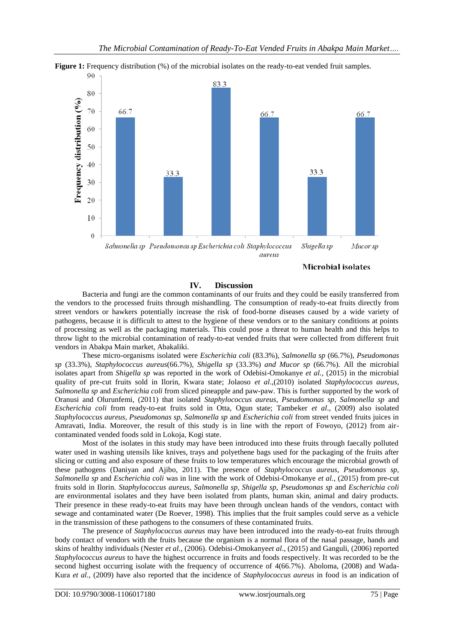

**Figure 1:** Frequency distribution (%) of the microbial isolates on the ready-to-eat vended fruit samples.

Microbial isolates

## **IV. Discussion**

Bacteria and fungi are the common contaminants of our fruits and they could be easily transferred from the vendors to the processed fruits through mishandling. The consumption of ready-to-eat fruits directly from street vendors or hawkers potentially increase the risk of food-borne diseases caused by a wide variety of pathogens, because it is difficult to attest to the hygiene of these vendors or to the sanitary conditions at points of processing as well as the packaging materials. This could pose a threat to human health and this helps to throw light to the microbial contamination of ready-to-eat vended fruits that were collected from different fruit vendors in Abakpa Main market, Abakaliki.

These micro-organisms isolated were *Escherichia coli* (83.3%), *Salmonella sp* (66.7%), *Pseudomonas sp* (33.3%), *Staphylococcus aureus*(66.7%), *Shigella sp* (33.3%) *and Mucor sp* (66.7%). All the microbial isolates apart from *Shigella sp* was reported in the work of Odebisi-Omokanye *et al.,* (2015) in the microbial quality of pre-cut fruits sold in Ilorin, Kwara state; Jolaoso *et al*.,(2010) isolated *Staphylococcus aureus*, *Salmonella sp* and *Escherichia coli* from sliced pineapple and paw-paw. This is further supported by the work of Oranusi and Olurunfemi, (2011) that isolated *Staphylococcus aureus*, *Pseudomonas sp, Salmonella sp* and *Escherichia coli* from ready-to-eat fruits sold in Otta, Ogun state; Tambeker *et al*., (2009) also isolated *Staphylococcus aureus*, *Pseudomonas sp, Salmonella sp* and *Escherichia coli* from street vended fruits juices in Amravati, India. Moreover, the result of this study is in line with the report of Fowoyo, (2012) from aircontaminated vended foods sold in Lokoja, Kogi state.

Most of the isolates in this study may have been introduced into these fruits through faecally polluted water used in washing utensils like knives, trays and polyethene bags used for the packaging of the fruits after slicing or cutting and also exposure of these fruits to low temperatures which encourage the microbial growth of these pathogens (Daniyan and Ajibo, 2011). The presence of *Staphylococcus aureus*, *Pseudomonas sp, Salmonella sp* and *Escherichia coli* was in line with the work of Odebisi-Omokanye *et al.,* (2015) from pre-cut fruits sold in Ilorin. *Staphylococcus aureus*, *Salmonella sp, Shigella sp, Pseudomonas sp* and *Escherichia coli* are environmental isolates and they have been isolated from plants, human skin, animal and dairy products. Their presence in these ready-to-eat fruits may have been through unclean hands of the vendors, contact with sewage and contaminated water (De Roever, 1998). This implies that the fruit samples could serve as a vehicle in the transmission of these pathogens to the consumers of these contaminated fruits.

The presence of *Staphylococcus aureus* may have been introduced into the ready-to-eat fruits through body contact of vendors with the fruits because the organism is a normal flora of the nasal passage, hands and skins of healthy individuals (Nester *et al*., (2006). Odebisi-Omokanye*et al*., (2015) and Ganguli, (2006) reported *Staphylococcus aureus* to have the highest occurrence in fruits and foods respectively. It was recorded to be the second highest occurring isolate with the frequency of occurrence of 4(66.7%). Aboloma, (2008) and Wada-Kura *et al*., (2009) have also reported that the incidence of *Staphylococcus aureus* in food is an indication of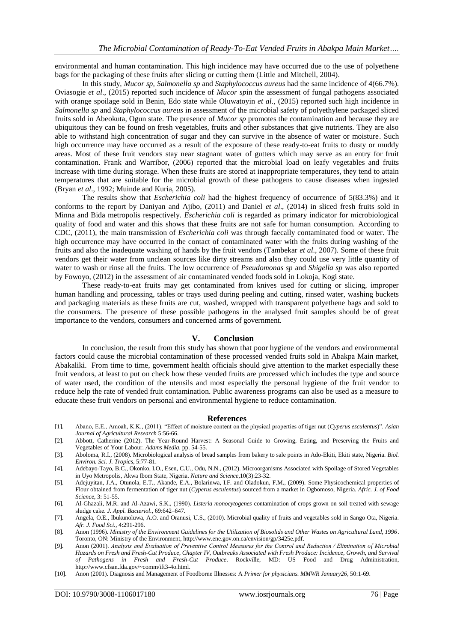environmental and human contamination. This high incidence may have occurred due to the use of polyethene bags for the packaging of these fruits after slicing or cutting them (Little and Mitchell, 2004).

In this study, *Mucor sp, Salmonella sp* and *Staphylococcus aureus* had the same incidence of 4(66.7%). Oviasogie *et al*., (2015) reported such incidence of *Mucor sp*in the assessment of fungal pathogens associated with orange spoilage sold in Benin, Edo state while Oluwatoyin *et al*., (2015) reported such high incidence in *Salmonella sp* and *Staphylococcus aureus* in assessment of the microbial safety of polyethylene packaged sliced fruits sold in Abeokuta, Ogun state. The presence of *Mucor sp* promotes the contamination and because they are ubiquitous they can be found on fresh vegetables, fruits and other substances that give nutrients. They are also able to withstand high concentration of sugar and they can survive in the absence of water or moisture. Such high occurrence may have occurred as a result of the exposure of these ready-to-eat fruits to dusty or muddy areas. Most of these fruit vendors stay near stagnant water of gutters which may serve as an entry for fruit contamination. Frank and Warribor, (2006) reported that the microbial load on leafy vegetables and fruits increase with time during storage. When these fruits are stored at inappropriate temperatures, they tend to attain temperatures that are suitable for the microbial growth of these pathogens to cause diseases when ingested (Bryan *et al*., 1992; Muinde and Kuria, 2005).

The results show that *Escherichia coli* had the highest frequency of occurrence of 5(83.3%) and it conforms to the report by Daniyan and Ajibo, (2011) and Daniel *et al*., (2014) in sliced fresh fruits sold in Minna and Bida metropolis respectively. *Escherichia coli* is regarded as primary indicator for microbiological quality of food and water and this shows that these fruits are not safe for human consumption. According to CDC, (2011), the main transmission of *Escherichia coli* was through faecally contaminated food or water. The high occurrence may have occurred in the contact of contaminated water with the fruits during washing of the fruits and also the inadequate washing of hands by the fruit vendors (Tambekar *et al*., 2007). Some of these fruit vendors get their water from unclean sources like dirty streams and also they could use very little quantity of water to wash or rinse all the fruits. The low occurrence of *Pseudomonas sp* and *Shigella sp* was also reported by Fowoyo, (2012) in the assessment of air contaminated vended foods sold in Lokoja, Kogi state.

These ready-to-eat fruits may get contaminated from knives used for cutting or slicing, improper human handling and processing, tables or trays used during peeling and cutting, rinsed water, washing buckets and packaging materials as these fruits are cut, washed, wrapped with transparent polyethene bags and sold to the consumers. The presence of these possible pathogens in the analysed fruit samples should be of great importance to the vendors, consumers and concerned arms of government.

#### **V. Conclusion**

In conclusion, the result from this study has shown that poor hygiene of the vendors and environmental factors could cause the microbial contamination of these processed vended fruits sold in Abakpa Main market, Abakaliki. From time to time, government health officials should give attention to the market especially these fruit vendors, at least to put on check how these vended fruits are processed which includes the type and source of water used, the condition of the utensils and most especially the personal hygiene of the fruit vendor to reduce help the rate of vended fruit contamination. Public awareness programs can also be used as a measure to educate these fruit vendors on personal and environmental hygiene to reduce contamination.

#### **References**

- [1]. Abano, E.E., Amoah, K.K., (2011). "Effect of moisture content on the physical properties of tiger nut (*Cyperus esculentus*)". *Asian Journal of Agricultural Research* 5:56-66.
- [2]. Abbott, Catherine (2012). The Year-Round Harvest: A Seasonal Guide to Growing, Eating, and Preserving the Fruits and Vegetables of Your Labour. *Adams Media*. pp. 54-55.
- [3]. Aboloma, R.I., (2008). Microbiological analysis of bread samples from bakery to sale points in Ado-Ekiti, Ekiti state, Nigeria. *Biol. Environ. Sci. J. Tropics*, 5:77-81.
- [4]. Adebayo-Tayo, B.C., Okonko, I.O., Esen, C.U., Odu, N.N., (2012). Microorganisms Associated with Spoilage of Stored Vegetables in Uyo Metropolis, Akwa Ibom State, Nigeria. *Nature and Science*,10(3):23-32.
- [5]. Adejuyitan, J.A., Otunola, E.T., Akande, E.A., Bolarinwa, I.F. and Oladokun, F.M., (2009). Some Physicochemical properties of Flour obtained from fermentation of tiger nut (*Cyperus esculentus*) sourced from a market in Ogbomoso, Nigeria. *Afric. J. of Food Science,* 3: 51-55.
- [6]. Al-Ghazali, M.R. and Al-Azawi, S.K., (1990). *Listeria monocytogenes* contamination of crops grown on soil treated with sewage sludge cake. *J. Appl. Bacteriol.,* 69:642–647.
- [7]. Angela, O.E., Ibukunoluwa, A.O. and Oranusi, U.S., (2010). Microbial quality of fruits and vegetables sold in Sango Ota, Nigeria. *Afr. J. Food Sci.*, 4:291-296.
- [8]. Anon (1996). *Ministry of the Environment Guidelines for the Utilization of Biosolids and Other Wastes on Agricultural Land, 1996*. Toronto, ON: Ministry of the Environment[, http://www.ene.gov.on.ca/envision/gp/3425e.pdf.](http://www.ene.gov.on.ca/envision/gp/3425e.pdf)
- [9]. Anon (2001). *Analysis and Evaluation of Preventive Control Measures for the Control and Reduction ⁄ Elimination of Microbial Hazards on Fresh and Fresh-Cut Produce, Chapter IV, Outbreaks Associated with Fresh Produce: Incidence, Growth, and Survival of Pathogens in Fresh and Fresh-Cut Produce*. Rockville, MD: US Food and Drug Administration, [http://www.cfsan.fda.gov/~comm/ift3-4o.html.](http://www.cfsan.fda.gov/~comm/ift3-4o.html)
- [10]. Anon (2001). Diagnosis and Management of Foodborne Illnesses: A *Primer for physicians. MMWR January26*, 50:1-69.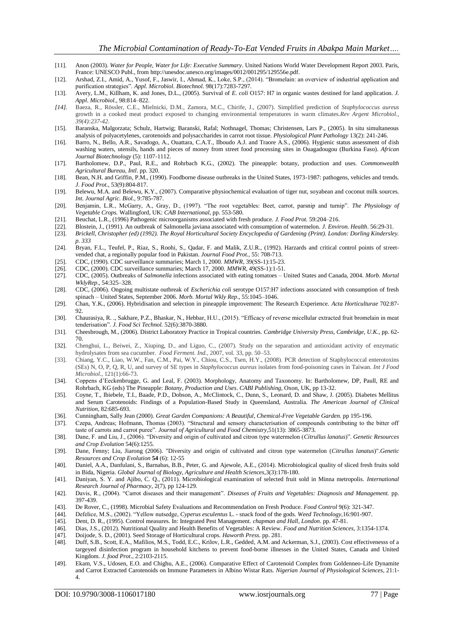- [11]. Anon (2003). *Water for People, Water for Life: Executive Summary*. United Nations World Water Development Report 2003. Paris, France: UNESCO Publ., fro[m http://unesdoc.unesco.org/images/0012/001295/129556e.pdf.](http://unesdoc.unesco.org/images/0012/001295/129556e.pdf)
- [12]. Arshad, Z.I., Amid, A., Yusof, F., Jaswir, I., Ahmad, K., Loke, S.P., (2014). "Bromelain: an overview of industrial application and purification strategies". *Appl. Microbiol. Biotechnol.* 98(17):7283-7297.
- [13]. Avery, L.M., Killham, K. and Jones, D.L., (2005). Survival of *E. coli* O157: H7 in organic wastes destined for land application. *J. Appl. Microbiol.,* 98:814–822.
- *[14].* Baeza, R., Rössler, C.E., Mielnicki, D.M., Zamora, M.C., Chirife, J., (2007). Simplified prediction of *Staphylococcus aureus* growth in a cooked meat product exposed to changing environmental temperatures in warm climates.*Rev Argent Microbiol., 39(4):237-42.*
- [15]. Baranska, Malgorzata; Schulz, Hartwig; Baranski, Rafal; Nothnagel, Thomas; Christensen, Lars P., (2005). In situ simultaneous analysis of polyacetylenes, carotenoids and polysaccharides in carrot root tissue. *Physiological Plant Pathology* 13(2): 241-246.
- [16]. Barro, N., Bello, A.R., Savadogo, A., Ouattara, C.A.T., Ilboudo A.J. and Traore A.S., (2006). Hygienic status assessment of dish washing waters, utensils, hands and pieces of money from street food processing sites in Ouagadougou (Burkina Faso). *African Journal Biotechnology* (5): 1107-1112.
- [17]. Bartholomew, D.P., Paul, R.E., and Rohrbach K.G., (2002). The pineapple: botany, production and uses. *Commonwealth Agricultural Bureau, Intl*. pp. 320.
- [18]. Bean, N.H. and Griffin, P.M., (1990). Foodborne disease outbreaks in the United States, 1973-1987: pathogens, vehicles and trends. *J. Food Prot.,* 53(9):804-817.
- [19]. Belewu, M.A. and Belewu, K.Y., (2007). Comparative physiochemical evaluation of tiger nut, soyabean and coconut milk sources. *Int. Journal Agric. Biol.*, 9:785-787.
- [20]. Benjamin, L.R., McGarry, A., Gray, D., (1997). "The root vegetables: Beet, carrot, parsnip and turnip". *The Physiology of Vegetable Crops.* Wallingford, UK: *CAB International*, pp. 553-580.
- [21]. Beuchat, L.R., (1996) Pathogenic microorganisms associated with fresh produce. *J. Food Prot.* 59:204–216.
- [22]. Blostein, J., (1991). An outbreak of Salmonella javiana associated with consumption of watermelon. *J. Environ. Health*. 56:29-31.
- [23]. *Brickell, Christopher (ed) (1992). The Royal Horticultural Society Encyclopedia of Gardening (Print). London: Dorling Kindersley. p. 333*
- [24]. Bryan, F.L., Teufel, P., Riaz, S., Roohi, S., Qadar, F. and Malik, Z.U.R., (1992). Harzards and critical control points of streetvended chat, a regionally popular food in Pakistan. *Journal Food Prot.,* 55: 708-713.
- [25]. CDC, (1990). CDC surveillance summaries; March 1, 2000. *MMWR*, 39(SS-1):15-23.
- [26]. CDC, (2000). CDC surveillance summaries; March 17, 2000. *MMWR*, 49(SS-1):1-51.
- [27]. CDC, (2005). Outbreaks of *Salmonella* infections associated with eating tomatoes United States and Canada, 2004. *Morb. Mortal WklyRep*., 54:325–328.
- [28]. CDC, (2006). Ongoing multistate outbreak of *Escherichia coli* serotype O157:H7 infections associated with consumption of fresh spinach – United States, September 2006. *Morb. Mortal Wkly Rep*., 55:1045–1046.
- [29]. Chan, Y.K., (2006). Hybridisation and selection in pineapple improvement: The Research Experience. *Acta Horticulturae* 702:87-  $92$
- [30]. Chaurasiya, R. ., Sakhare, P.Z., Bhaskar, N., Hebbar, H.U., (2015). "Efficacy of reverse micellular extracted fruit bromelain in meat tenderisation". *J. Food Sci Technol.* 52(6):3870-3880.
- [31]. Cheesbrough, M., (2006). District Laboratory Practice in Tropical countries. *Cambridge University Press, Cambridge, U.K.*, pp. 62- 70.
- [32]. Chenghui, L., Beiwei, Z., Xiuping, D., and Liguo, C., (2007). Study on the separation and antioxidant activity of enzymatic hydrolysates from sea cucumber. *Food Ferment. Ind.*, 2007, vol. 33, pp. 50–53.
- [33]. Chiang, Y.C., Liao, W.W., Fan, C.M., Pai, W.Y., Chiou, C.S., Tsen, H.Y., (2008). PCR detection of Staphylococcal enterotoxins (SEs) N, O, P, Q, R, U, and survey of SE types in *Staphylococcus aureus* isolates from food-poisoning cases in Taiwan. *Int J Food Microbiol*., 121(1):66-73.
- [34]. Coppens d'Eeckenbrugge, G. and Leal, F. (2003). Morphology, Anatomy and Taxonomy. In: Bartholomew, DP, Paull, RE and Rohrbach, KG (eds) The Pineapple: *Botany, Production and Uses*. *CABI Publishing*, Oxon, UK, pp 13-32.
- [35]. Coyne, T., Ibiebele, T.I., Baade, P.D., Dobson, A., McClintock, C., Dunn, S., Leonard, D. and Shaw, J. (2005). Diabetes Mellitus and Serum Carotenoids: Findings of a Population-Based Study in Queensland, Australia. *The American Journal of Clinical Nutrition*, 82:685-693.
- [36]. Cunningham, Sally Jean (2000). *Great Garden Companions: A Beautiful, Chemical-Free Vegetable Garden.* pp 195-196.
- [37]. Czepa, Andreas; Hofmann, Thomas (2003). "Structural and sensory characterisation of compounds contributing to the bitter off taste of carrots and carrot puree". *Journal of Agricultural and Food Chemistry*,51(13): 3865-3873.
- [38]. Dane, F. and Liu, J., (2006). "Diversity and origin of cultivated and citron type watermelon (*Citrullus lanatus*)". *Genetic Resources and Crop Evolution* 54(6):1255.
- [39]. Dane, Fenny; Liu, Jiarong (2006). "Diversity and origin of cultivated and citron type watermelon (*Citrullus lanatus*)".*Genetic Resources and Crop Evolution* **54** (6): 12-55
- [40]. Daniel, A.A., Danfulani, S., Barnabas, B.B., Peter, G. and Ajewole, A.E., (2014). Microbiological quality of sliced fresh fruits sold in Bida, Nigeria. *Global Journal of Biology, Agriculture and Health Sciences*,3(3):178-180.
- [41]. Daniyan, S. Y. and Ajibo, C. Q., (2011). Microbiological examination of selected fruit sold in Minna metropolis. *International Research Journal of Pharmacy,* 2(7), pp 124-129.
- [42]. Davis, R., (2004). "Carrot diseases and their management". *Diseases of Fruits and Vegetables: Diagnosis and Management.* pp. 397-439.
- [43]. De Rover, C., (1998). Microbial Safety Evaluations and Recommendation on Fresh Produce. *Food Control* 9(6): 321-347.
- [44]. Defelice, M.S., (2002). "Yellow nutsedge, *Cyperus esculentus* L. snack food of the gods. *Weed Technology*,16:901-907.
- [45]. Dent, D. R., (1995). Control measures. In: Integrated Pest Management. *chapman and Hall, London*. pp. 47-81.
- [46]. Dias, J.S., (2012). Nutritional Quality and Health Benefits of Vegetables: A Review. *Food and Nutrition Sciences*, 3:1354-1374.
- [47]. Doijode, S. D., (2001). Seed Storage of Horticultural crops. *Haworth Press*. pp. 281.
- [48]. Duff, S.B., Scott, E.A., Mafilios, M.S., Todd, E.C., Krilov, L.R., Gedded, A.M. and Ackerman, S.J., (2003). Cost effectivenesss of a targeyed disinfection program in household kitchens to prevent food-borne illnesses in the United States, Canada and United Kingdom. *J. food Prot.*, 2:2103-2115.
- [49]. Ekam, V.S., Udosen, E.O. and Chighu, A.E., (2006). Comparative Effect of Carotenoid Complex from Goldenneo-Life Dynamite and Carrot Extracted Carotenoids on Immune Parameters in Albino Wistar Rats. *Nigerian Journal of Physiological Sciences*, 21:1- 4.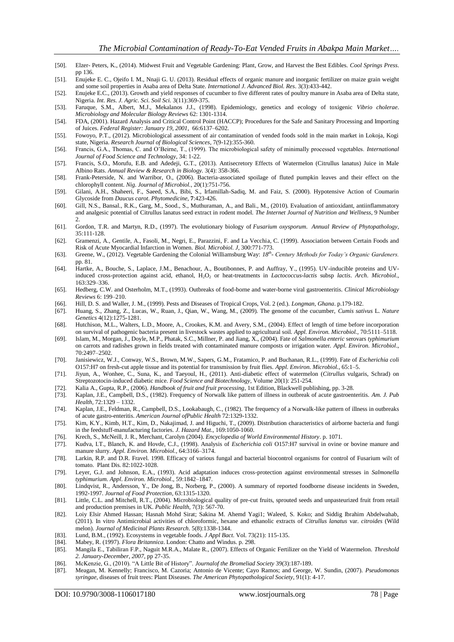- [50]. Elzer- Peters, K., (2014). Midwest Fruit and Vegetable Gardening: Plant, Grow, and Harvest the Best Edibles. *Cool Springs Press*. pp 136.
- [51]. Enujeke E. C., Ojeifo I. M., Nnaji G. U. (2013). Residual effects of organic manure and inorganic fertilizer on maize grain weight and some soil properties in Asaba area of Delta State. *International J. Advanced Biol. Res*. 3(3):433-442.

[52]. Enujeke E.C., (2013). Growth and yield responses of cucumber to five different rates of poultry manure in Asaba area of Delta state, Nigeria. *Int. Res. J. Agric. Sci. Soil Sci.* 3(11):369-375.

- [53]. Faruque, S.M., Albert, M.J., Mekalanos J.J., (1998). Epidemiology, genetics and ecology of toxigenic *Vibrio cholerae*. *Microbiology and Molecular Biology Reviews* 62: 1301-1314.
- [54]. FDA, (2001). Hazard Analysis and Critical Control Point (HACCP); Procedures for the Safe and Sanitary Processing and Importing of Juices. *Federal Register: January 19, 2001,* 66:6137–6202.
- [55]. Fowoyo, P.T., (2012). Microbiological assessment of air contamination of vended foods sold in the main market in Lokoja, Kogi state, Nigeria. *Research Journal of Biological Sciences*, 7(9-12):355-360.
- [56]. Francis, G.A., Thomas, C. and O'Beirne, T., (1999). The microbiological safety of minimally processed vegetables. *International Journal of Food Science and Technology*, 34: 1-22.
- [57]. Francis, S.O., Morufu, E.B. and Adedeji, G.T., (2013). Antisecretory Effects of Watermelon (Citrullus lanatus) Juice in Male Albino Rats. *Annual Review & Research in Biology.* 3(4): 358-366.
- [58]. Frank-Peterside, N. and Warribor, O., (2006). Bacteria-associated spoilage of fluted pumpkin leaves and their effect on the chlorophyll content. *Nig. Journal of Microbiol.*, 20(1):751-756.
- [59]. Gilani, A.H., Shaheeri, F., Saeed, S.A., Bibi, S., Irfamillah-Sadiq, M. and Faiz, S. (2000). Hypotensive Action of Coumarin Glycoside from *Daucus carot*. *Phytomedicine*, **7**:423-426.
- [60]. Gill, N.S., Bansal., R.K., Garg, M., Sood., S., Muthuraman, A., and Bali., M., (2010). Evaluation of antioxidant, antiinflammatory and analgesic potential of Citrullus lanatus seed extract in rodent model. *The Internet Journal of Nutrition and Wellness*, 9 Number 2.
- [61]. Gordon, T.R. and Martyn, R.D., (1997). The evolutionary biology of *Fusarium oxysporum*. *Annual Review of Phytopathology*, 35:111-128.
- [62]. Gramenzi, A., Gentile, A., Fasoli, M., Negri, E., Parazzini, F. and La Vecchia, C. (1999). Association between Certain Foods and Risk of Acute Myocardial Infarction in Women. *Biol. Microbiol. J*, 300:771-773.
- [63]. Greene, W., (2012). Vegetable Gardening the Colonial Williamsburg Way: *18th - Century Methods for Today's Organic Gardeners.*  pp. 81.
- [64]. Hartke, A., Bouche, S., Laplace, J.M., Benachour, A., Boutibonnes, P. and Auffray, Y., (1995). UV-inducible proteins and UVinduced cross-protection against acid, ethanol, H2O<sup>2</sup> or heat-treatments in *Lactococcus-lactis* subsp *lactis*. *Arch*. *Microbiol*., 163:329–336.
- [65]. Hedberg, C.W. and Osterholm, M.T., (1993). Outbreaks of food-borne and water-borne viral gastroenteritis. *Clinical Microbiology Reviews* 6: 199–210.
- [66]. Hill, D. S. and Waller, J. M., (1999). Pests and Diseases of Tropical Crops, Vol. 2 (ed.). *Longman, Ghana*. p.179-182.
- [67]. Huang, S., Zhang, Z., Lucas, W., Ruan, J., Qian, W., Wang, M., (2009). The genome of the cucumber, *Cumis sativus* L. *Nature Genetics* 4(12):1275-1281.
- [68]. Hutchison, M.L., Walters, L.D., Moore, A., Crookes, K.M. and Avery, S.M., (2004). Effect of length of time before incorporation on survival of pathogenic bacteria present in livestock wastes applied to agricultural soil. *Appl. Environ. Microbiol.,* 70:5111–5118.
- [69]. Islam, M., Morgan, J., Doyle, M.P., Phatak, S.C., Millner, P. and Jiang, X., (2004). Fate of *Salmonella enteric* serovars *typhimurium* on carrots and radishes grown in fields treated with contaminated manure composts or irrigation water. *Appl. Environ. Microbiol*., 70:2497–2502.
- [70]. Janisiewicz, W.J., Conway, W.S., Brown, M.W., Sapers, G.M., Fratamico, P. and Buchanan, R.L., (1999). Fate of *Escherichia coli* O157:H7 on fresh-cut apple tissue and its potential for transmission by fruit flies. *Appl. Environ. Microbiol.,* 65:1–5.
- [71]. Jiyun, A., Wonhee, C., Suna, K., and Taeyoul, H., (2011). Anti-diabetic effect of watermelon (*Citrullus* vulgaris, Schrad) on Streptozotocin-induced diabetic mice. *Food Science and Biotechnology*, Volume 20(1): 251-254.
- [72]. Kalia A., Gupta, R.P., (2006). *Handbook of fruit and fruit processing*, 1st Edition, Blackwell publishing, pp. 3-28.
- [73]. Kaplan, J.E., Campbell, D.S., (1982). Frequency of Norwalk like pattern of illness in outbreak of acute gastroenteritis. *Am. J. Pub Health,* 72:1329 – 1332.
- [74]. Kaplan, J.E., Feldman, R., Campbell, D.S., Lookabaugh, C., (1982). The frequency of a Norwalk-like pattern of illness in outbreaks of acute gastro-enteritis. *American Journal ofPublic Health* 72:1329-1332.
- [75]. Kim, K.Y., Kimb, H.T., Kim, D., Nakajimad, J. and Higuchi, T., (2009). Distribution characteristics of airborne bacteria and fungi in the feedstuff-manufacturing factories. *J. Hazard Mat.*, 169:1050-1060.
- [76]. Krech, S., McNeill, J. R., Merchant, Carolyn (2004). *Encyclopedia of World Environmental History*. p. 1071.
- [77]. Kudva, I.T., Blanch, K. and Hovde, C.J., (1998). Analysis of *Escherichia coli* O157:H7 survival in ovine or bovine manure and manure slurry. *Appl. Environ. Microbiol.,* 64:3166–3174.
- [78]. Larkin, R.P. and D.R. Fravel. 1998. Efficacy of various fungal and bacterial biocontrol organisms for control of Fusarium wilt of tomato. Plant Dis. 82:1022-1028.
- [79]. Leyer, G.J. and Johnson, E.A., (1993). Acid adaptation induces cross-protection against environmental stresses in *Salmonella typhimurium*. *Appl. Environ. Microbiol*., 59:1842–1847.
- [80]. Lindqvist, R., Andersson, Y., De Jong, B., Norberg, P., (2000). A summary of reported foodborne disease incidents in Sweden, 1992-1997. *Journal of Food Protection*, 63:1315-1320.
- [81]. Little, C.L. and Mitchell, R.T., (2004). Microbiological quality of pre-cut fruits, sprouted seeds and unpasteurized fruit from retail and production premises in UK. *Public Health*, 7(3): 567-70.
- [82]. Loiy Elsir Ahmed Hassan; Hasnah Mohd Sirat; Sakina M. Ahemd Yagi1; Waleed, S. Koko; and Siddig Ibrahim Abdelwahab, (2011). In vitro Antimicrobial activities of chloroformic, hexane and ethanolic extracts of *Citrullus lanatus* var. *citroides* (Wild melon). *Journal of Medicinal Plants Research*. 5(8):1338-1344.
- [83]. Lund, B.M., (1992). Ecosystems in vegetable foods. *J Appl Bact*. Vol. 73(21): 115-135.
- [84]. Mabey, R. (1997). *Flora Britannica*. London: Chatto and Windus. p. 298.
- [85]. Mangila E., Tabiliran F.P., Naguit M.R.A., Malate R., (2007). Effects of Organic Fertilizer on the Yield of Watermelon. *Threshold 2. January-December*, *2007,* pp 27-35.
- [86]. McKenzie, G., (2010). "A Little Bit of History". *Journalof the Bromeliad Society* 39(3):187-189.
- [87]. Meagan, M. Kennelly; Francisco, M. Cazoria; Antonio de Vicente; Cayo Ramos; and George, W. Sundin, (2007). *Pseudomonas syringae,* diseases of fruit trees: Plant Diseases. *The American Phytopathological Society*, 91(1): 4-17.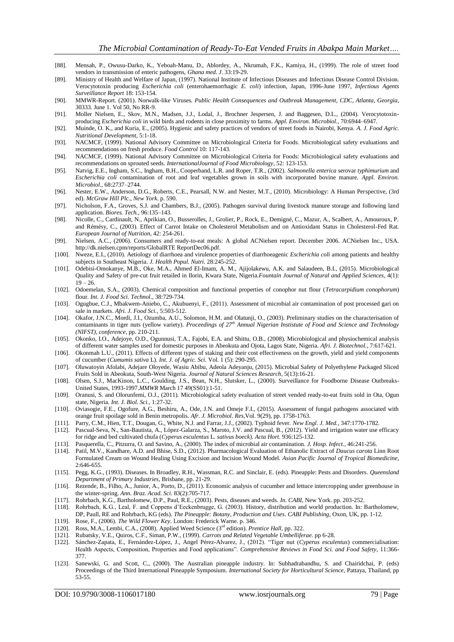- [88]. Mensah, P., Owusu-Darko, K., Yeboah-Manu, D., Ablordey, A., Nkrumah, F.K., Kamiya, H., (1999). The role of street food vendors in transmission of enteric pathogens, *Ghana med. J*. 33:19-29.
- [89]. Ministry of Health and Welfare of Japan, (1997). National Institute of Infectious Diseases and Infectious Disease Control Division. Verocytotoxin producing *Escherichia coli* (enterohaemorrhagic *E. coli*) infection, Japan, 1996-June 1997, *Infectious Agents Surveillance Report* 18: 153-154.
- [90]. MMWR-Report. (2001). Norwalk-like Viruses*. Public Health Consequences and Outbreak Management*, *CDC, Atlanta, Georgia*, 30333. June 1. Vol 50, No RR-9.
- [91]. Moller Nielsen, E., Skov, M.N., Madsen, J.J., Lodal, J., Brochner Jespersen, J. and Baggesen, D.L., (2004). Verocytotoxinproducing *Escherichia coli* in wild birds and rodents in close proximity to farms. *Appl. Environ. Microbiol.,* 70:6944–6947.
- [92]. Muinde, O. K., and Kuria, E., (2005). Hygienic and safety practices of vendors of street foods in Nairobi, Kenya. *A. J. Food Agric. Nutritional Development*, 5:1-18.
- [93]. NACMCF, (1999). National Advisory Committee on Microbiological Criteria for Foods. Microbiological safety evaluations and recommendations on fresh produce. *Food Control* 10: 117-143.
- [94]. NACMCF, (1999). National Advisory Committee on Microbiological Criteria for Foods: Microbiological safety evaluations and recommendations on sprouted seeds. *InternationalJournal of Food Microbiology*, 52: 123-153.
- [95]. Natvig, E.E., Ingham, S.C., Ingham, B.H., Cooperband, L.R. and Roper, T.R., (2002). *Salmonella enterica* serovar *typhimurium* and *Escherichia coli* contamination of root and leaf vegetables grown in soils with incorporated bovine manure. *Appl. Environ. Microbiol.,* 68:2737–2744.
- [96]. Nester, E.W., Anderson, D.G., Roberts, C.E., Pearsall, N.W. and Nester, M.T., (2010). Microbiology: A Human Perspective, (3rd ed). *McGraw Hill Plc., New York*. p. 590.
- [97]. Nicholson, F.A., Groves, S.J. and Chambers, B.J., (2005). Pathogen survival during livestock manure storage and following land application. *Biores. Tech.,* 96:135–143.
- [98]. Nicolle, C., Cardinault, N., Aprikian, O., Busserolles, J., Grolier, P., Rock, E., Demigné, C., Mazur, A., Scalbert, A., Amouroux, P. and Rémésy, C., (2003). Effect of Carrot Intake on Cholesterol Metabolism and on Antioxidant Status in Cholesterol-Fed Rat*. European Journal of Nutrition*, 42: 254-261.
- [99]. Nielsen, A.C., (2006). Consumers and ready-to-eat meals: A global ACNielsen report. December 2006. ACNielsen Inc., USA. http://dk.nielsen.cpm/reports/GlobalRTE ReportDec06.pdf.
- [100]. Nweze, E.I., (2010). Aetiology of diarrhoea and virulence properties of diarrhoeagenic *Escherichia coli* among patients and healthy subjects in Southeast Nigeria. *J. Health Popul. Nutri.* 28:245-252.
- [101]. Odebisi-Omokanye, M.B., Oke, M.A., Ahmed El-Imam, A. M., Ajijolakewu, A.K. and Salaudeen, B.I., (2015). Microbiological Quality and Safety of pre-cut fruit retailed in Ilorin, Kwara State, Nigeria.*Fountain Journal of Natural and Applied Sciences*, 4(1):  $19 - 26.$
- [102]. Odoemelan, S.A., (2003). Chemical composition and functional properties of conophor nut flour (*Tetracarpidium conophorum*) flour. *Int. J. Food Sci. Technol*., 38:729-734.
- [103]. Ogugbue, C.J., Mbakwem-Aniebo, C., Akubuenyi, F., (2011). Assessment of microbial air contamination of post processed gari on sale in markets. *Afri. J. Food Sci.*, 5:503-512.
- [104]. Okafor, J.N.C., Mordi, J.I., Ozumba, A.U., Solomon, H.M. and Olatunji, O., (2003). Preliminary studies on the characterisation of contaminants in tiger nuts (yellow variety). *Proceedings of 27th Annual Nigerian Instistute of Food and Science and Technology (NIFST), conference*, pp. 210-211.
- [105]. Okonko, I.O., Adejoye, O.D., Ogunnusi, T.A., Fajobi, E.A. and Shittu, O.B., (2008). Microbiological and physiochemical analysis of different water samples used for domestic purposes in Abeokuta and Ojota, Lagos State, Nigeria. *Afri. J. Biotechnol.*, 7:617-621.
- [106]. Okonmah L.U., (2011). Effects of different types of staking and their cost effectiveness on the growth, yield and yield components of cucumber (*Cumumis sativa* L). *Int. J. of Agric. Sci.* Vol. 1 (5): 290-295.
- [107]. Oluwatoyin Afolabi, Adejare Oloyede, Wasiu Abibu, Adeola Adeyanju, (2015). Microbial Safety of Polyethylene Packaged Sliced Fruits Sold in Abeokuta, South-West Nigeria. *Journal of Natural Sciences Research*, 5(13):16-21.
- [108]. Olsen, S.J., MacKinon, L.C., Goulding, J.S., Bean, N.H., Slutsker, L., (2000). Surveillance for Foodborne Disease Outbreaks-United States, 1993-1997.*MMWR* March 17 49(SS01):1-51.
- [109]. Oranusi, S. and Olorunfemi, O.J., (2011). Microbiological safety evaluation of street vended ready-to-eat fruits sold in Ota, Ogun state, Nigeria. *Int. J. Biol. Sci.*, 1:27-32.
- [110]. Oviasogie, F.E., Ogofure, A.G., Beshiru, A., Ode, J.N. and Omeje F.I., (2015). Assessment of fungal pathogens associated with orange fruit spoilage sold in Benin metropolis*. Afr. J. Microbiol. Res*,Vol. 9(29), pp. 1758-1763.
- [111]. Parry, C.M., Hien, T.T., Dougan, G., White, N.J. and Farrar, J.J., (2002). Typhoid fever. *New Engl. J. Med.*, 347:1770-1782.
- [112]. Pascual-Seva, N., San-Bautista, A., López-Galarza, S., Maroto, J.V. and Pascual, B., (2012). Yield and irrigation water use efficacy for ridge and bed cultivated chufa (*Cyperus esculentus* L. *sativus boeck*). *Acta Hort.* 936:125-132.
- [113]. Pasquerella, C., Pitzurra, O. and Savino, A., (2000). The index of microbial air contamination. *J. Hosp. Infect.*, 46:241-256.
- [114]. Patil, M.V., Kandhare, A.D. and Bhise, S.D., (2012). Pharmacological Evaluation of Ethanolic Extract of *Daucus carota* Linn Root Formulated Cream on Wound Healing Using Excision and Incision Wound Model. *Asian Pacific Journal of Tropical Biomedicine*, 2:646-655.
- [115]. Pegg, K.G., (1993). Diseases. In Broadley, R.H., Wassman, R.C. and Sinclair, E. (eds). Pineapple: Pests and Disorders. *Queensland Department of Primary Industries*, Brisbane, pp. 21-29.
- [116]. Rezende, B., Filho, A., Junior, A., Porto, D., (2011). Economic analysis of cucumber and lettuce intercropping under greenhouse in the winter-spring. *Ann. Braz. Acad. Sci.* 83(2):705-717.
- [117]. Rohrbach, K.G., Bartholomew, D.P., Paul, R.E., (2003). Pests, diseases and weeds. *In. CABI*, New York. pp. 203-252.
- [118]. Rohrbach, K.G., Leal, F. and Coppens d'Eeckenbrugge, G. (2003). History, distribution and world production. In: Bartholomew, DP, Paull, RE and Rohrbach, KG (eds). *The Pineapple: Botany, Production and Uses*. *CABI Publishing*, Oxon, UK, pp. 1-12.
- [119]. Rose, F., (2006). *The Wild Flower Key*. London: Frederick Warne. p. 346.
- [120]. Ross, M.A., Lembi, C.A., (2008). Applied Weed Science (3rd edition). *Prentice Hall,* pp. 322.
- [121]. Rubatsky, V.E., Quiros, C.F., Siman, P.W., (1999). *Carrots and Related Vegetable Umbelliferae.* pp 6-28.
- [122]. Sánchez-Zapata, E., Fernández-López, J., Angel Pérez-Alvarez, J., (2012). "Tiger nut (*Cyperus esculentus*) commercialisation: Health Aspects, Composition, Properties and Food applications". *Comprehensive Reviews in Food Sci. and Food Safety*, 11:366- 377.
- [123]. Sanewski, G. and Scott, C., (2000). The Australian pineapple industry. In: Subhadrabandhu, S. and Chairidchai, P. (eds) Proceedings of the Third International Pineapple Symposium. *International Society for Horticultural Science,* Pattaya, Thailand, pp 53-55.